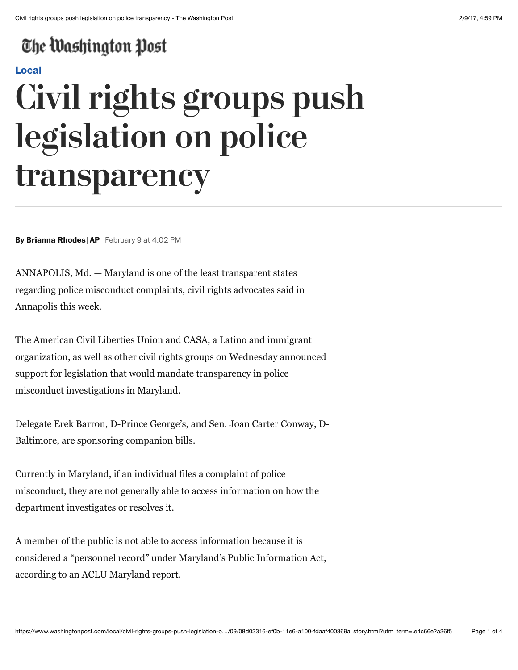## The Washington Post

### **[Local](https://www.washingtonpost.com/local)**

# **Civil rights groups push legislation on police transparency**

**By Brianna Rhodes |AP** February 9 at 4:02 PM

ANNAPOLIS, Md. — Maryland is one of the least transparent states regarding police misconduct complaints, civil rights advocates said in Annapolis this week.

The American Civil Liberties Union and CASA, a Latino and immigrant organization, as well as other civil rights groups on Wednesday announced support for legislation that would mandate transparency in police misconduct investigations in Maryland.

Delegate Erek Barron, D-Prince George's, and Sen. Joan Carter Conway, D-Baltimore, are sponsoring companion bills.

Currently in Maryland, if an individual files a complaint of police misconduct, they are not generally able to access information on how the department investigates or resolves it.

A member of the public is not able to access information because it is considered a "personnel record" under Maryland's Public Information Act, according to an ACLU Maryland report.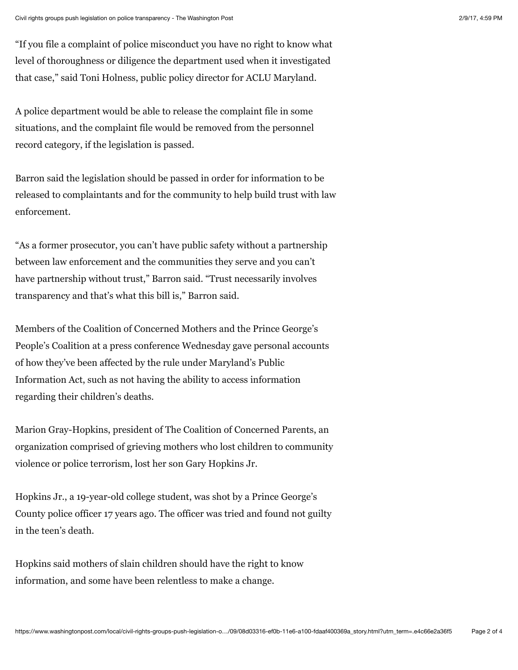"If you file a complaint of police misconduct you have no right to know what level of thoroughness or diligence the department used when it investigated that case," said Toni Holness, public policy director for ACLU Maryland.

A police department would be able to release the complaint file in some situations, and the complaint file would be removed from the personnel record category, if the legislation is passed.

Barron said the legislation should be passed in order for information to be released to complaintants and for the community to help build trust with law enforcement.

"As a former prosecutor, you can't have public safety without a partnership between law enforcement and the communities they serve and you can't have partnership without trust," Barron said. "Trust necessarily involves transparency and that's what this bill is," Barron said.

Members of the Coalition of Concerned Mothers and the Prince George's People's Coalition at a press conference Wednesday gave personal accounts of how they've been affected by the rule under Maryland's Public Information Act, such as not having the ability to access information regarding their children's deaths.

Marion Gray-Hopkins, president of The Coalition of Concerned Parents, an organization comprised of grieving mothers who lost children to community violence or police terrorism, lost her son Gary Hopkins Jr.

Hopkins Jr., a 19-year-old college student, was shot by a Prince George's County police officer 17 years ago. The officer was tried and found not guilty in the teen's death.

Hopkins said mothers of slain children should have the right to know information, and some have been relentless to make a change.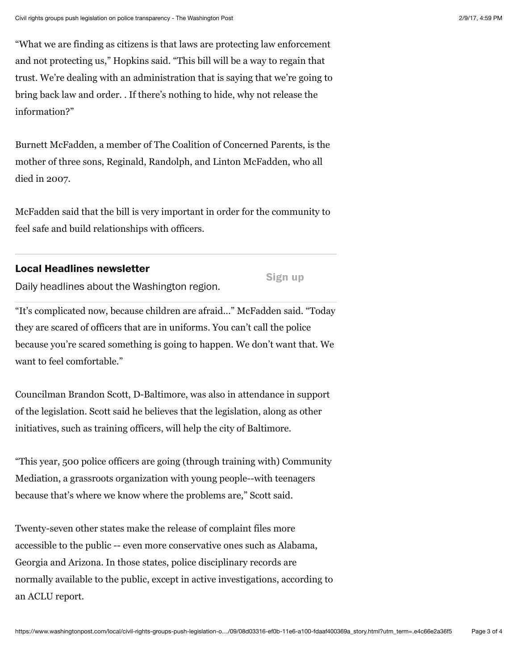"What we are finding as citizens is that laws are protecting law enforcement and not protecting us," Hopkins said. "This bill will be a way to regain that trust. We're dealing with an administration that is saying that we're going to bring back law and order. . If there's nothing to hide, why not release the information?"

Burnett McFadden, a member of The Coalition of Concerned Parents, is the mother of three sons, Reginald, Randolph, and Linton McFadden, who all died in 2007.

McFadden said that the bill is very important in order for the community to feel safe and build relationships with officers.

#### **Local Headlines newsletter**

**Sign up**

Daily headlines about the Washington region.

"It's complicated now, because children are afraid..." McFadden said. "Today they are scared of officers that are in uniforms. You can't call the police because you're scared something is going to happen. We don't want that. We want to feel comfortable."

Councilman Brandon Scott, D-Baltimore, was also in attendance in support of the legislation. Scott said he believes that the legislation, along as other initiatives, such as training officers, will help the city of Baltimore.

"This year, 500 police officers are going (through training with) Community Mediation, a grassroots organization with young people--with teenagers because that's where we know where the problems are," Scott said.

Twenty-seven other states make the release of complaint files more accessible to the public -- even more conservative ones such as Alabama, Georgia and Arizona. In those states, police disciplinary records are normally available to the public, except in active investigations, according to an ACLU report.